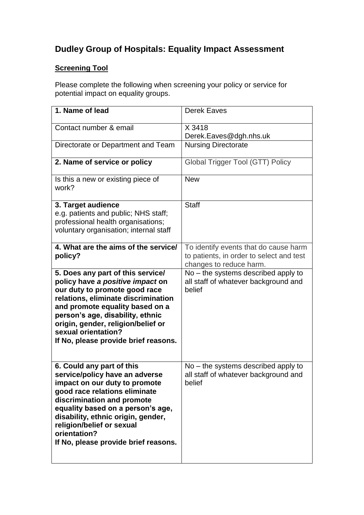## **Dudley Group of Hospitals: Equality Impact Assessment**

## **Screening Tool**

Please complete the following when screening your policy or service for potential impact on equality groups.

| 1. Name of lead                                                                                                                                                                                                                                                                                                             | <b>Derek Eaves</b>                                                                                           |
|-----------------------------------------------------------------------------------------------------------------------------------------------------------------------------------------------------------------------------------------------------------------------------------------------------------------------------|--------------------------------------------------------------------------------------------------------------|
| Contact number & email                                                                                                                                                                                                                                                                                                      | X 3418<br>Derek.Eaves@dgh.nhs.uk                                                                             |
| Directorate or Department and Team                                                                                                                                                                                                                                                                                          | <b>Nursing Directorate</b>                                                                                   |
| 2. Name of service or policy                                                                                                                                                                                                                                                                                                | <b>Global Trigger Tool (GTT) Policy</b>                                                                      |
| Is this a new or existing piece of<br>work?                                                                                                                                                                                                                                                                                 | <b>New</b>                                                                                                   |
| 3. Target audience<br>e.g. patients and public; NHS staff;<br>professional health organisations;<br>voluntary organisation; internal staff                                                                                                                                                                                  | <b>Staff</b>                                                                                                 |
| 4. What are the aims of the service/<br>policy?                                                                                                                                                                                                                                                                             | To identify events that do cause harm<br>to patients, in order to select and test<br>changes to reduce harm. |
| 5. Does any part of this service/<br>policy have a positive impact on<br>our duty to promote good race<br>relations, eliminate discrimination<br>and promote equality based on a<br>person's age, disability, ethnic<br>origin, gender, religion/belief or<br>sexual orientation?<br>If No, please provide brief reasons.   | $No$ – the systems described apply to<br>all staff of whatever background and<br>belief                      |
| 6. Could any part of this<br>service/policy have an adverse<br>impact on our duty to promote<br>good race relations eliminate<br>discrimination and promote<br>equality based on a person's age,<br>disability, ethnic origin, gender,<br>religion/belief or sexual<br>orientation?<br>If No, please provide brief reasons. | $No$ – the systems described apply to<br>all staff of whatever background and<br>belief                      |